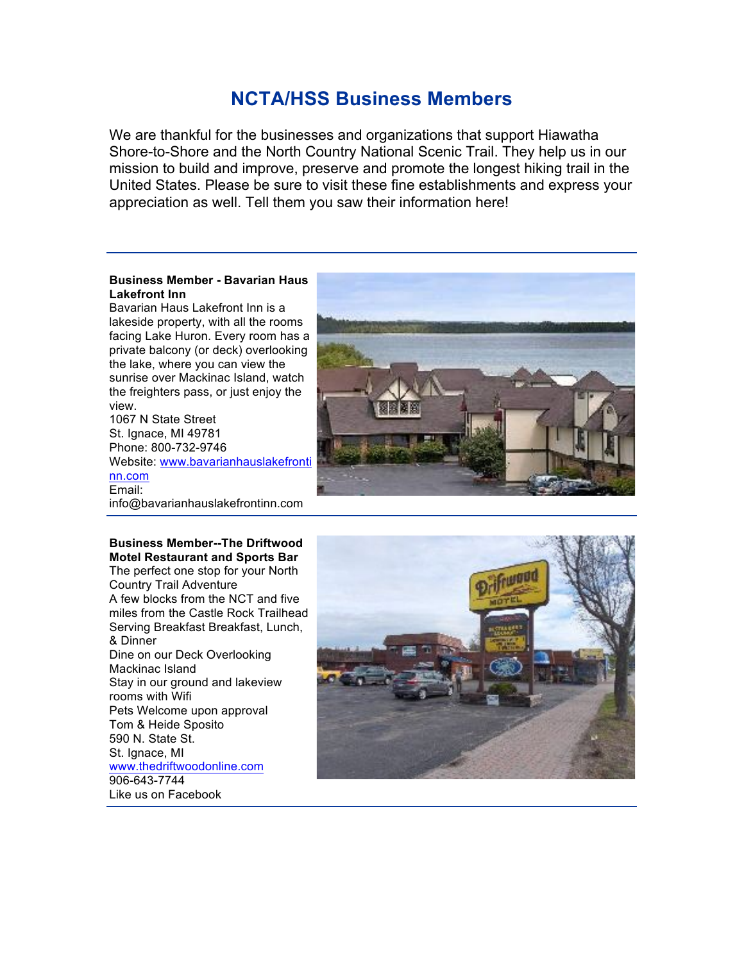# **NCTA/HSS Business Members**

We are thankful for the businesses and organizations that support Hiawatha Shore-to-Shore and the North Country National Scenic Trail. They help us in our mission to build and improve, preserve and promote the longest hiking trail in the United States. Please be sure to visit these fine establishments and express your appreciation as well. Tell them you saw their information here!

#### **Business Member - Bavarian Haus Lakefront Inn**

Bavarian Haus Lakefront Inn is a lakeside property, with all the rooms facing Lake Huron. Every room has a private balcony (or deck) overlooking the lake, where you can view the sunrise over Mackinac Island, watch the freighters pass, or just enjoy the view. 1067 N State Street

St. Ignace, MI 49781 Phone: 800-732-9746 Website: [www.bavarianhauslakefront](http://www.bavarianhauslakefrontinn.com/)i [nn.com](http://www.bavarianhauslakefrontinn.com/) Email: info@bavarianhauslakefrontinn.com

**Business Member--The Driftwood Motel Restaurant and Sports Bar** The perfect one stop for your North Country Trail Adventure A few blocks from the NCT and five miles from the Castle Rock Trailhead Serving Breakfast Breakfast, Lunch, & Dinner Dine on our Deck Overlooking Mackinac Island Stay in our ground and lakeview rooms with Wifi Pets Welcome upon approval Tom & Heide Sposito 590 N. State St. St. Ignace, MI [www.thedriftwoodonline.com](http://www.thedriftwoodonline.com/) 906-643-7744 Like us on Facebook

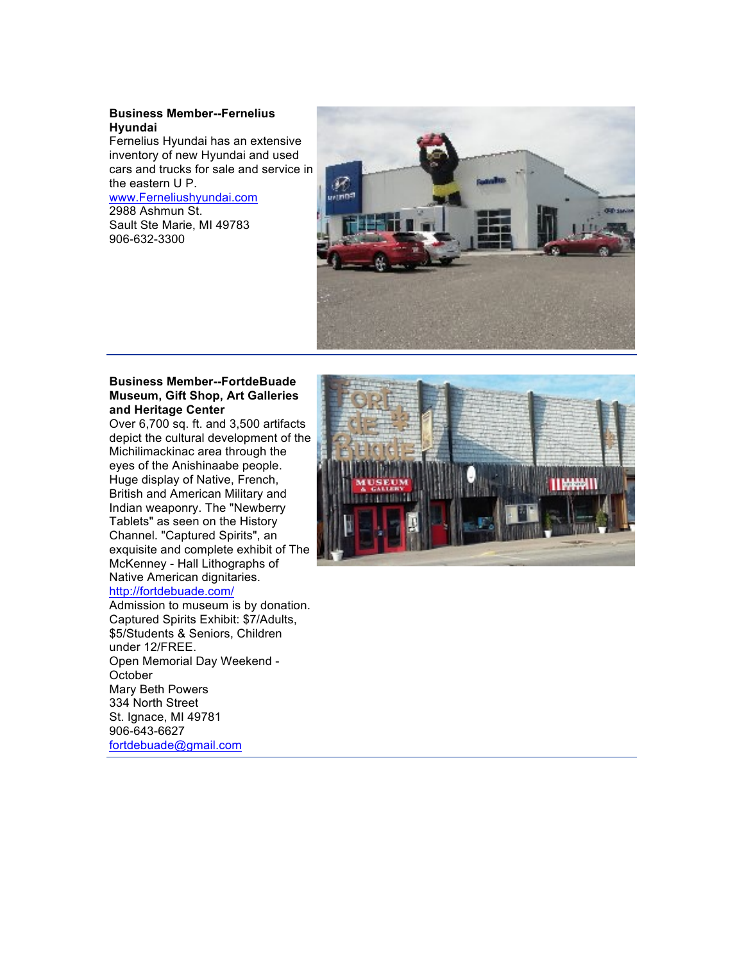#### **Business Member--Fernelius Hyundai**

Fernelius Hyundai has an extensive inventory of new Hyundai and used cars and trucks for sale and service in the eastern U P. [www.Ferneliushyundai.com](http://www.ferneliushyundai.com/)

## 2988 Ashmun St.

Sault Ste Marie, MI 49783 906-632-3300



#### **Business Member--FortdeBuade Museum, Gift Shop, Art Galleries and Heritage Center**

Over 6,700 sq. ft. and 3,500 artifacts depict the cultural development of the Michilimackinac area through the eyes of the Anishinaabe people. Huge display of Native, French, British and American Military and Indian weaponry. The "Newberry Tablets" as seen on the History Channel. "Captured Spirits", an exquisite and complete exhibit of The McKenney - Hall Lithographs of Native American dignitaries.

### <http://fortdebuade.com/>

Admission to museum is by donation. Captured Spirits Exhibit: \$7/Adults, \$5/Students & Seniors, Children under 12/FREE. Open Memorial Day Weekend - **October** Mary Beth Powers 334 North Street St. Ignace, MI 49781 906-643-6627 [fortdebuade@gmail.com](mailto:fortdebuade@gmail.com)

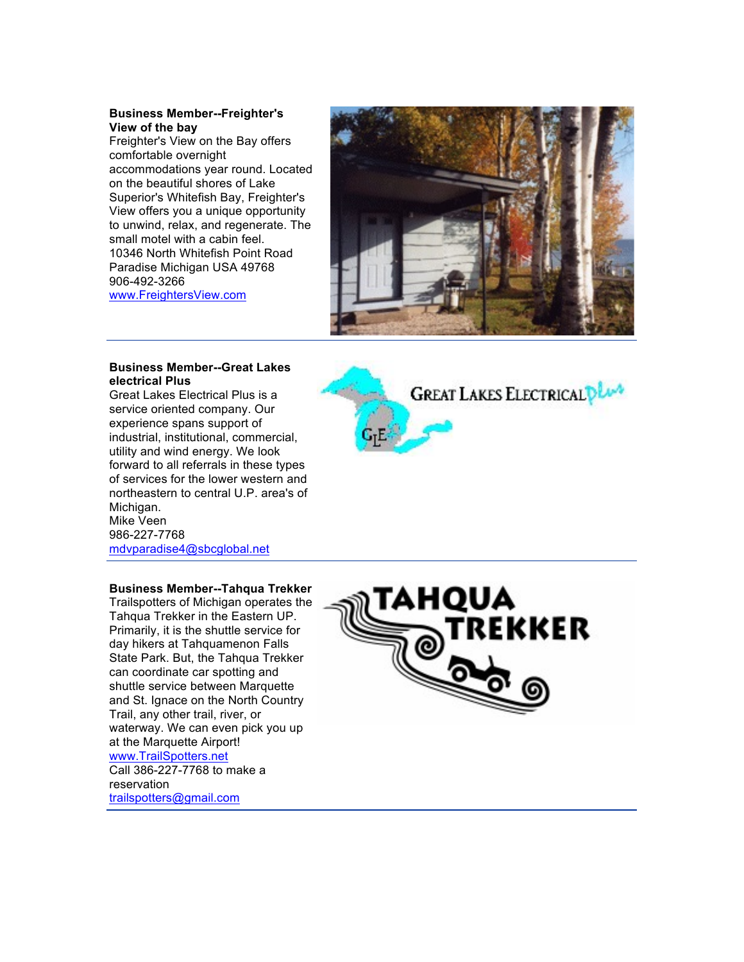#### **Business Member--Freighter's View of the bay**

Freighter's View on the Bay offers comfortable overnight accommodations year round. Located on the beautiful shores of Lake Superior's Whitefish Bay, Freighter's View offers you a unique opportunity to unwind, relax, and regenerate. The small motel with a cabin feel. 10346 North Whitefish Point Road Paradise Michigan USA 49768 906-492-3266 [www.FreightersView.com](http://www.freightersview.com/)



#### **Business Member--Great Lakes electrical Plus**

Great Lakes Electrical Plus is a service oriented company. Our experience spans support of industrial, institutional, commercial, utility and wind energy. We look forward to all referrals in these types of services for the lower western and northeastern to central U.P. area's of Michigan. Mike Veen 986-227-7768 [mdvparadise4@sbcglobal.net](mailto:mdvparadise4@sbcglobal.net)



#### **Business Member--Tahqua Trekker**

Trailspotters of Michigan operates the Tahqua Trekker in the Eastern UP. Primarily, it is the shuttle service for day hikers at Tahquamenon Falls State Park. But, the Tahqua Trekker can coordinate car spotting and shuttle service between Marquette and St. Ignace on the North Country Trail, any other trail, river, or waterway. We can even pick you up at the Marquette Airport! [www.TrailSpotters.net](http://www.trailspotters.net/) Call 386-227-7768 to make a



reservation

[trailspotters@gmail.com](mailto:trailspotters@gmail.com)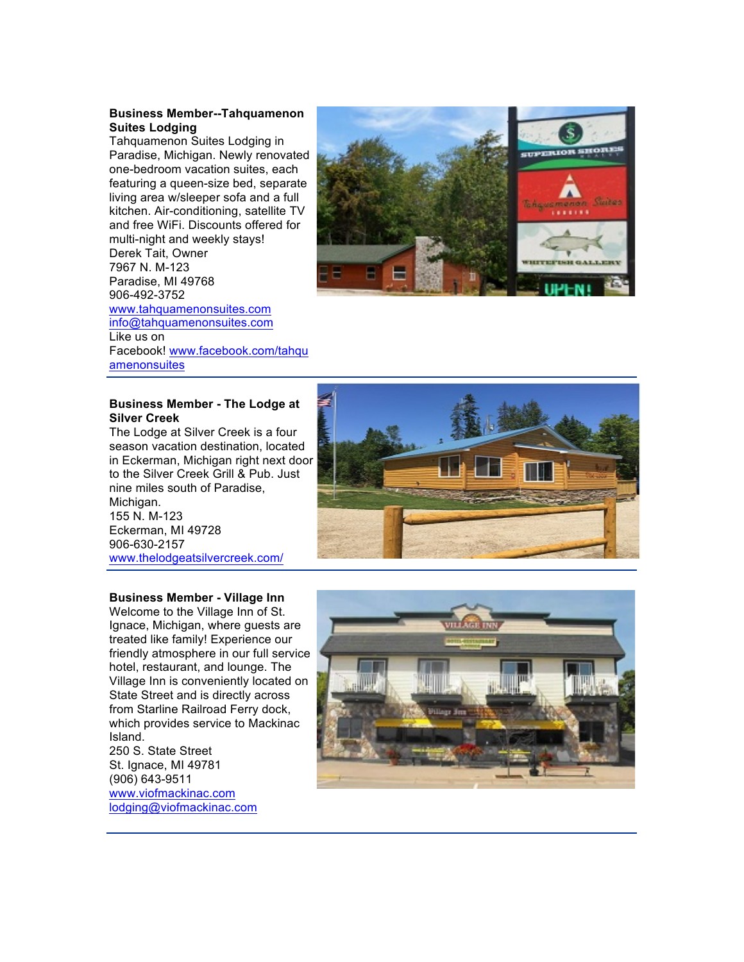#### **Business Member--Tahquamenon Suites Lodging**

Tahquamenon Suites Lodging in Paradise, Michigan. Newly renovated one-bedroom vacation suites, each featuring a queen-size bed, separate living area w/sleeper sofa and a full kitchen. Air-conditioning, satellite TV and free WiFi. Discounts offered for multi-night and weekly stays! Derek Tait, Owner 7967 N. M-123 Paradise, MI 49768 906-492-3752 [www.tahquamenonsuites.com](http://www.tahquamenonsuites.com/) [info@tahquamenonsuites.com](mailto:info@tahquamenonsuites.com) Like us on Facebook! [www.facebook.com/tahq](http://www.facebook.com/tahquamenonsuites)u [amenonsuites](http://www.facebook.com/tahquamenonsuites)



#### **Business Member - The Lodge at Silver Creek**

The Lodge at Silver Creek is a four season vacation destination, located in Eckerman, Michigan right next door to the Silver Creek Grill & Pub. Just nine miles south of Paradise, Michigan. 155 N. M-123 Eckerman, MI 49728 906-630-2157 [www.thelodgeatsilvercreek.com/](http://www.thelodgeatsilvercreek.com/)

#### **Business Member - Village Inn**

Welcome to the Village Inn of St. Ignace, Michigan, where guests are treated like family! Experience our friendly atmosphere in our full service hotel, restaurant, and lounge. The Village Inn is conveniently located on State Street and is directly across from Starline Railroad Ferry dock, which provides service to Mackinac Island. 250 S. State Street

St. Ignace, MI 49781 (906) 643-9511 [www.viofmackinac.com](http://www.viofmackinac.com/) [lodging@viofmackinac.com](mailto:lodging@viofmackinac.com)